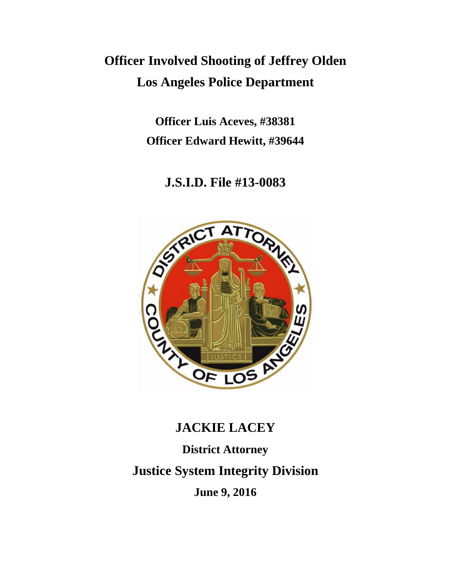# **Officer Involved Shooting of Jeffrey Olden Los Angeles Police Department**

**Officer Luis Aceves, #38381 Officer Edward Hewitt, #39644**

**J.S.I.D. File #13-0083**



# **JACKIE LACEY**

**District Attorney Justice System Integrity Division**

**June 9, 2016**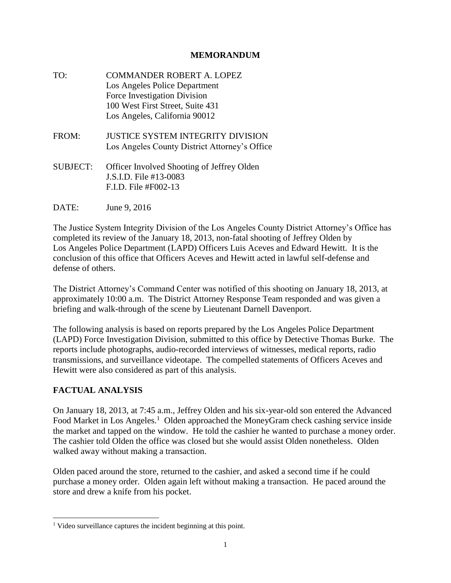#### **MEMORANDUM**

TO: COMMANDER ROBERT A. LOPEZ Los Angeles Police Department Force Investigation Division 100 West First Street, Suite 431 Los Angeles, California 90012 FROM: JUSTICE SYSTEM INTEGRITY DIVISION Los Angeles County District Attorney's Office SUBJECT: Officer Involved Shooting of Jeffrey Olden J.S.I.D. File #13-0083 F.I.D. File #F002-13

DATE: June 9, 2016

The Justice System Integrity Division of the Los Angeles County District Attorney's Office has completed its review of the January 18, 2013, non-fatal shooting of Jeffrey Olden by Los Angeles Police Department (LAPD) Officers Luis Aceves and Edward Hewitt. It is the conclusion of this office that Officers Aceves and Hewitt acted in lawful self-defense and defense of others.

The District Attorney's Command Center was notified of this shooting on January 18, 2013, at approximately 10:00 a.m. The District Attorney Response Team responded and was given a briefing and walk-through of the scene by Lieutenant Darnell Davenport.

The following analysis is based on reports prepared by the Los Angeles Police Department (LAPD) Force Investigation Division, submitted to this office by Detective Thomas Burke. The reports include photographs, audio-recorded interviews of witnesses, medical reports, radio transmissions, and surveillance videotape. The compelled statements of Officers Aceves and Hewitt were also considered as part of this analysis.

#### **FACTUAL ANALYSIS**

l

On January 18, 2013, at 7:45 a.m., Jeffrey Olden and his six-year-old son entered the Advanced Food Market in Los Angeles.<sup>1</sup> Olden approached the MoneyGram check cashing service inside the market and tapped on the window. He told the cashier he wanted to purchase a money order. The cashier told Olden the office was closed but she would assist Olden nonetheless. Olden walked away without making a transaction.

Olden paced around the store, returned to the cashier, and asked a second time if he could purchase a money order. Olden again left without making a transaction. He paced around the store and drew a knife from his pocket.

<sup>&</sup>lt;sup>1</sup> Video surveillance captures the incident beginning at this point.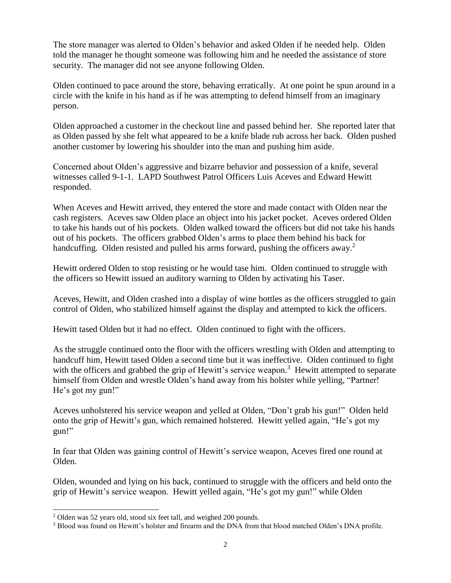The store manager was alerted to Olden's behavior and asked Olden if he needed help. Olden told the manager he thought someone was following him and he needed the assistance of store security. The manager did not see anyone following Olden.

Olden continued to pace around the store, behaving erratically. At one point he spun around in a circle with the knife in his hand as if he was attempting to defend himself from an imaginary person.

Olden approached a customer in the checkout line and passed behind her. She reported later that as Olden passed by she felt what appeared to be a knife blade rub across her back. Olden pushed another customer by lowering his shoulder into the man and pushing him aside.

Concerned about Olden's aggressive and bizarre behavior and possession of a knife, several witnesses called 9-1-1. LAPD Southwest Patrol Officers Luis Aceves and Edward Hewitt responded.

When Aceves and Hewitt arrived, they entered the store and made contact with Olden near the cash registers. Aceves saw Olden place an object into his jacket pocket. Aceves ordered Olden to take his hands out of his pockets. Olden walked toward the officers but did not take his hands out of his pockets. The officers grabbed Olden's arms to place them behind his back for handcuffing. Olden resisted and pulled his arms forward, pushing the officers away.<sup>2</sup>

Hewitt ordered Olden to stop resisting or he would tase him. Olden continued to struggle with the officers so Hewitt issued an auditory warning to Olden by activating his Taser.

Aceves, Hewitt, and Olden crashed into a display of wine bottles as the officers struggled to gain control of Olden, who stabilized himself against the display and attempted to kick the officers.

Hewitt tased Olden but it had no effect. Olden continued to fight with the officers.

As the struggle continued onto the floor with the officers wrestling with Olden and attempting to handcuff him, Hewitt tased Olden a second time but it was ineffective. Olden continued to fight with the officers and grabbed the grip of Hewitt's service weapon.<sup>3</sup> Hewitt attempted to separate himself from Olden and wrestle Olden's hand away from his holster while yelling, "Partner! He's got my gun!"

Aceves unholstered his service weapon and yelled at Olden, "Don't grab his gun!" Olden held onto the grip of Hewitt's gun, which remained holstered. Hewitt yelled again, "He's got my gun!"

In fear that Olden was gaining control of Hewitt's service weapon, Aceves fired one round at Olden.

Olden, wounded and lying on his back, continued to struggle with the officers and held onto the grip of Hewitt's service weapon. Hewitt yelled again, "He's got my gun!" while Olden

 $\overline{a}$ 

<sup>2</sup> Olden was 52 years old, stood six feet tall, and weighed 200 pounds.

<sup>3</sup> Blood was found on Hewitt's holster and firearm and the DNA from that blood matched Olden's DNA profile.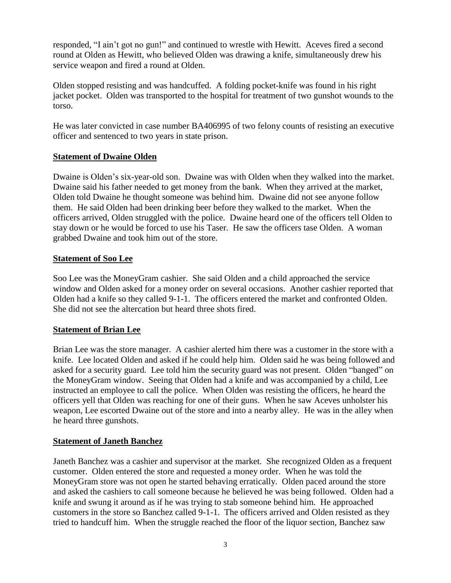responded, "I ain't got no gun!" and continued to wrestle with Hewitt. Aceves fired a second round at Olden as Hewitt, who believed Olden was drawing a knife, simultaneously drew his service weapon and fired a round at Olden.

Olden stopped resisting and was handcuffed. A folding pocket-knife was found in his right jacket pocket. Olden was transported to the hospital for treatment of two gunshot wounds to the torso.

He was later convicted in case number BA406995 of two felony counts of resisting an executive officer and sentenced to two years in state prison.

#### **Statement of Dwaine Olden**

Dwaine is Olden's six-year-old son. Dwaine was with Olden when they walked into the market. Dwaine said his father needed to get money from the bank. When they arrived at the market, Olden told Dwaine he thought someone was behind him. Dwaine did not see anyone follow them. He said Olden had been drinking beer before they walked to the market. When the officers arrived, Olden struggled with the police. Dwaine heard one of the officers tell Olden to stay down or he would be forced to use his Taser. He saw the officers tase Olden. A woman grabbed Dwaine and took him out of the store.

#### **Statement of Soo Lee**

Soo Lee was the MoneyGram cashier. She said Olden and a child approached the service window and Olden asked for a money order on several occasions. Another cashier reported that Olden had a knife so they called 9-1-1. The officers entered the market and confronted Olden. She did not see the altercation but heard three shots fired.

#### **Statement of Brian Lee**

Brian Lee was the store manager. A cashier alerted him there was a customer in the store with a knife. Lee located Olden and asked if he could help him. Olden said he was being followed and asked for a security guard. Lee told him the security guard was not present. Olden "banged" on the MoneyGram window. Seeing that Olden had a knife and was accompanied by a child, Lee instructed an employee to call the police. When Olden was resisting the officers, he heard the officers yell that Olden was reaching for one of their guns. When he saw Aceves unholster his weapon, Lee escorted Dwaine out of the store and into a nearby alley. He was in the alley when he heard three gunshots.

#### **Statement of Janeth Banchez**

Janeth Banchez was a cashier and supervisor at the market. She recognized Olden as a frequent customer. Olden entered the store and requested a money order. When he was told the MoneyGram store was not open he started behaving erratically. Olden paced around the store and asked the cashiers to call someone because he believed he was being followed. Olden had a knife and swung it around as if he was trying to stab someone behind him. He approached customers in the store so Banchez called 9-1-1. The officers arrived and Olden resisted as they tried to handcuff him. When the struggle reached the floor of the liquor section, Banchez saw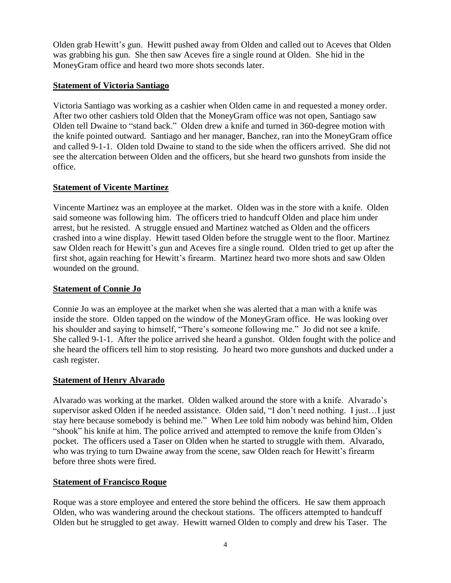Olden grab Hewitt's gun. Hewitt pushed away from Olden and called out to Aceves that Olden was grabbing his gun. She then saw Aceves fire a single round at Olden. She hid in the MoneyGram office and heard two more shots seconds later.

#### **Statement of Victoria Santiago**

Victoria Santiago was working as a cashier when Olden came in and requested a money order. After two other cashiers told Olden that the MoneyGram office was not open, Santiago saw Olden tell Dwaine to "stand back." Olden drew a knife and turned in 360-degree motion with the knife pointed outward. Santiago and her manager, Banchez, ran into the MoneyGram office and called 9-1-1. Olden told Dwaine to stand to the side when the officers arrived. She did not see the altercation between Olden and the officers, but she heard two gunshots from inside the office.

# **Statement of Vicente Martinez**

Vincente Martinez was an employee at the market. Olden was in the store with a knife. Olden said someone was following him. The officers tried to handcuff Olden and place him under arrest, but he resisted. A struggle ensued and Martinez watched as Olden and the officers crashed into a wine display. Hewitt tased Olden before the struggle went to the floor. Martinez saw Olden reach for Hewitt's gun and Aceves fire a single round. Olden tried to get up after the first shot, again reaching for Hewitt's firearm. Martinez heard two more shots and saw Olden wounded on the ground.

# **Statement of Connie Jo**

Connie Jo was an employee at the market when she was alerted that a man with a knife was inside the store. Olden tapped on the window of the MoneyGram office. He was looking over his shoulder and saying to himself, "There's someone following me." Jo did not see a knife. She called 9-1-1. After the police arrived she heard a gunshot. Olden fought with the police and she heard the officers tell him to stop resisting. Jo heard two more gunshots and ducked under a cash register.

#### **Statement of Henry Alvarado**

Alvarado was working at the market. Olden walked around the store with a knife. Alvarado's supervisor asked Olden if he needed assistance. Olden said, "I don't need nothing. I just…I just stay here because somebody is behind me." When Lee told him nobody was behind him, Olden "shook" his knife at him. The police arrived and attempted to remove the knife from Olden's pocket. The officers used a Taser on Olden when he started to struggle with them. Alvarado, who was trying to turn Dwaine away from the scene, saw Olden reach for Hewitt's firearm before three shots were fired.

# **Statement of Francisco Roque**

Roque was a store employee and entered the store behind the officers. He saw them approach Olden, who was wandering around the checkout stations. The officers attempted to handcuff Olden but he struggled to get away. Hewitt warned Olden to comply and drew his Taser. The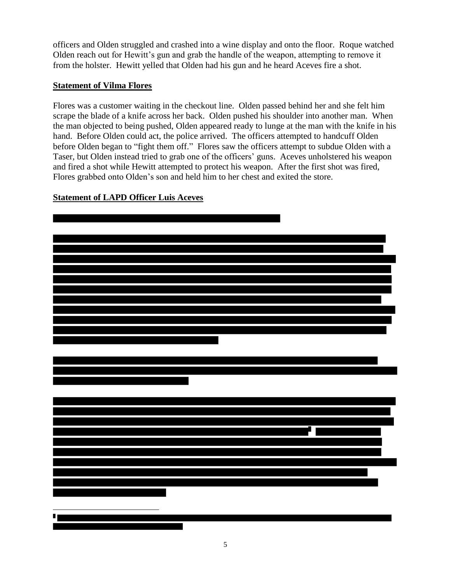officers and Olden struggled and crashed into a wine display and onto the floor. Roque watched Olden reach out for Hewitt's gun and grab the handle of the weapon, attempting to remove it from the holster. Hewitt yelled that Olden had his gun and he heard Aceves fire a shot.

#### **Statement of Vilma Flores**

Flores was a customer waiting in the checkout line. Olden passed behind her and she felt him scrape the blade of a knife across her back. Olden pushed his shoulder into another man. When the man objected to being pushed, Olden appeared ready to lunge at the man with the knife in his hand. Before Olden could act, the police arrived. The officers attempted to handcuff Olden before Olden began to "fight them off." Flores saw the officers attempt to subdue Olden with a Taser, but Olden instead tried to grab one of the officers' guns. Aceves unholstered his weapon and fired a shot while Hewitt attempted to protect his weapon. After the first shot was fired, Flores grabbed onto Olden's son and held him to her chest and exited the store.



# **Statement of LAPD Officer Luis Aceves**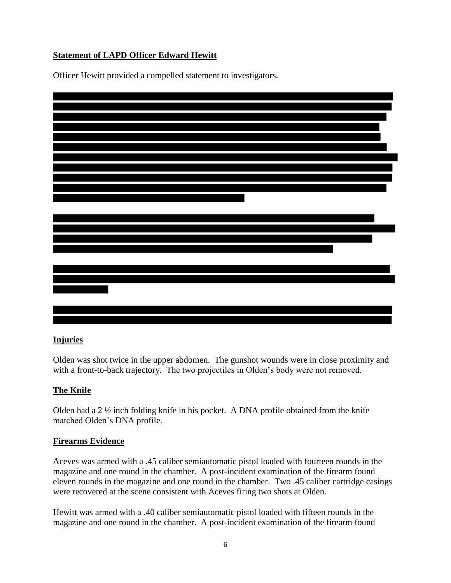# **Statement of LAPD Officer Edward Hewitt**

Officer Hewitt provided a compelled statement to investigators.



#### **Injuries**

Olden was shot twice in the upper abdomen. The gunshot wounds were in close proximity and with a front-to-back trajectory. The two projectiles in Olden's body were not removed.

#### **The Knife**

Olden had a 2 ½ inch folding knife in his pocket. A DNA profile obtained from the knife matched Olden's DNA profile.

#### **Firearms Evidence**

Aceves was armed with a .45 caliber semiautomatic pistol loaded with fourteen rounds in the magazine and one round in the chamber. A post-incident examination of the firearm found eleven rounds in the magazine and one round in the chamber. Two .45 caliber cartridge casings were recovered at the scene consistent with Aceves firing two shots at Olden.

Hewitt was armed with a .40 caliber semiautomatic pistol loaded with fifteen rounds in the magazine and one round in the chamber. A post-incident examination of the firearm found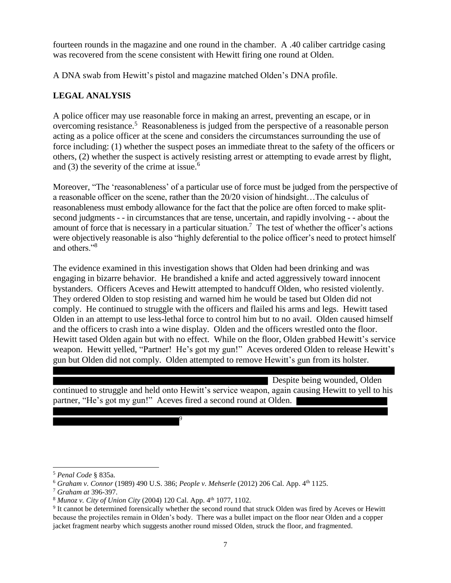fourteen rounds in the magazine and one round in the chamber. A .40 caliber cartridge casing was recovered from the scene consistent with Hewitt firing one round at Olden.

A DNA swab from Hewitt's pistol and magazine matched Olden's DNA profile.

# **LEGAL ANALYSIS**

A police officer may use reasonable force in making an arrest, preventing an escape, or in overcoming resistance.<sup>5</sup> Reasonableness is judged from the perspective of a reasonable person acting as a police officer at the scene and considers the circumstances surrounding the use of force including: (1) whether the suspect poses an immediate threat to the safety of the officers or others, (2) whether the suspect is actively resisting arrest or attempting to evade arrest by flight, and (3) the severity of the crime at issue.<sup>6</sup>

Moreover, "The 'reasonableness' of a particular use of force must be judged from the perspective of a reasonable officer on the scene, rather than the 20/20 vision of hindsight…The calculus of reasonableness must embody allowance for the fact that the police are often forced to make splitsecond judgments - - in circumstances that are tense, uncertain, and rapidly involving - - about the amount of force that is necessary in a particular situation.<sup>7</sup> The test of whether the officer's actions were objectively reasonable is also "highly deferential to the police officer's need to protect himself and others."<sup>8</sup>

The evidence examined in this investigation shows that Olden had been drinking and was engaging in bizarre behavior. He brandished a knife and acted aggressively toward innocent bystanders. Officers Aceves and Hewitt attempted to handcuff Olden, who resisted violently. They ordered Olden to stop resisting and warned him he would be tased but Olden did not comply. He continued to struggle with the officers and flailed his arms and legs. Hewitt tased Olden in an attempt to use less-lethal force to control him but to no avail. Olden caused himself and the officers to crash into a wine display. Olden and the officers wrestled onto the floor. Hewitt tased Olden again but with no effect. While on the floor, Olden grabbed Hewitt's service weapon. Hewitt yelled, "Partner! He's got my gun!" Aceves ordered Olden to release Hewitt's gun but Olden did not comply. Olden attempted to remove Hewitt's gun from its holster.

Despite being wounded, Olden continued to struggle and held onto Hewitt's service weapon, again causing Hewitt to yell to his partner, "He's got my gun!" Aceves fired a second round at Olden.

 $\overline{a}$ 

9

<sup>5</sup> *Penal Code* § 835a.

<sup>6</sup> *Graham v. Connor* (1989) 490 U.S. 386; *People v. Mehserle* (2012) 206 Cal. App. 4th 1125.

<sup>7</sup> *Graham at* 396-397.

<sup>&</sup>lt;sup>8</sup> *Munoz v. City of Union City* (2004) 120 Cal. App. 4<sup>th</sup> 1077, 1102.

<sup>9</sup> It cannot be determined forensically whether the second round that struck Olden was fired by Aceves or Hewitt because the projectiles remain in Olden's body. There was a bullet impact on the floor near Olden and a copper jacket fragment nearby which suggests another round missed Olden, struck the floor, and fragmented.